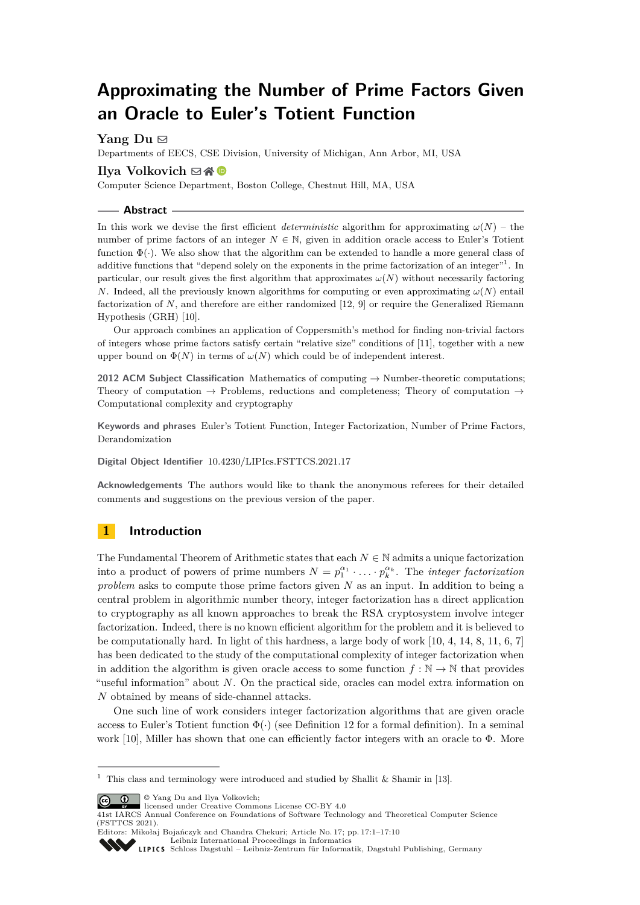# **Approximating the Number of Prime Factors Given an Oracle to Euler's Totient Function**

**Yang Du** ⊠

Departments of EECS, CSE Division, University of Michigan, Ann Arbor, MI, USA

## **Ilya Volkovich** ⊠ A **©**

Computer Science Department, Boston College, Chestnut Hill, MA, USA

**Abstract**

In this work we devise the first efficient *deterministic* algorithm for approximating  $\omega(N)$  – the number of prime factors of an integer  $N \in \mathbb{N}$ , given in addition oracle access to Euler's Totient function  $\Phi(\cdot)$ . We also show that the algorithm can be extended to handle a more general class of additive functions that "depend solely on the exponents in the prime factorization of an integer"<sup>[1](#page-0-0)</sup>. In particular, our result gives the first algorithm that approximates  $\omega(N)$  without necessarily factoring *N*. Indeed, all the previously known algorithms for computing or even approximating  $\omega(N)$  entail factorization of *N*, and therefore are either randomized [\[12,](#page-9-0) [9\]](#page-9-1) or require the Generalized Riemann Hypothesis (GRH) [\[10\]](#page-9-2).

Our approach combines an application of Coppersmith's method for finding non-trivial factors of integers whose prime factors satisfy certain "relative size" conditions of [\[11\]](#page-9-3), together with a new upper bound on  $\Phi(N)$  in terms of  $\omega(N)$  which could be of independent interest.

**2012 ACM Subject Classification** Mathematics of computing → Number-theoretic computations; Theory of computation  $\rightarrow$  Problems, reductions and completeness; Theory of computation  $\rightarrow$ Computational complexity and cryptography

**Keywords and phrases** Euler's Totient Function, Integer Factorization, Number of Prime Factors, Derandomization

**Digital Object Identifier** [10.4230/LIPIcs.FSTTCS.2021.17](https://doi.org/10.4230/LIPIcs.FSTTCS.2021.17)

**Acknowledgements** The authors would like to thank the anonymous referees for their detailed comments and suggestions on the previous version of the paper.

# **1 Introduction**

The Fundamental Theorem of Arithmetic states that each  $N \in \mathbb{N}$  admits a unique factorization into a product of powers of prime numbers  $N = p_1^{\alpha_1} \cdot \ldots \cdot p_k^{\alpha_k}$ . The *integer factorization problem* asks to compute those prime factors given *N* as an input. In addition to being a central problem in algorithmic number theory, integer factorization has a direct application to cryptography as all known approaches to break the RSA cryptosystem involve integer factorization. Indeed, there is no known efficient algorithm for the problem and it is believed to be computationally hard. In light of this hardness, a large body of work [\[10,](#page-9-2) [4,](#page-9-4) [14,](#page-9-5) [8,](#page-9-6) [11,](#page-9-3) [6,](#page-9-7) [7\]](#page-9-8) has been dedicated to the study of the computational complexity of integer factorization when in addition the algorithm is given oracle access to some function  $f : \mathbb{N} \to \mathbb{N}$  that provides "useful information" about *N*. On the practical side, oracles can model extra information on *N* obtained by means of side-channel attacks.

One such line of work considers integer factorization algorithms that are given oracle access to Euler's Totient function  $\Phi(\cdot)$  (see Definition [12](#page-3-0) for a formal definition). In a seminal work [\[10\]](#page-9-2), Miller has shown that one can efficiently factor integers with an oracle to  $\Phi$ . More

© Yang Du and Ilya Volkovich;

licensed under Creative Commons License CC-BY 4.0

41st IARCS Annual Conference on Foundations of Software Technology and Theoretical Computer Science (FSTTCS 2021).

Editors: Mikołaj Bojańczyk and Chandra Chekuri; Article No. 17; pp. 17:1–17:10 [Leibniz International Proceedings in Informatics](https://www.dagstuhl.de/lipics/)

```
Schloss Dagstuhl – Leibniz-Zentrum für Informatik, Dagstuhl Publishing, Germany
```
<span id="page-0-0"></span><sup>&</sup>lt;sup>1</sup> This class and terminology were introduced and studied by Shallit & Shamir in [\[13\]](#page-9-9).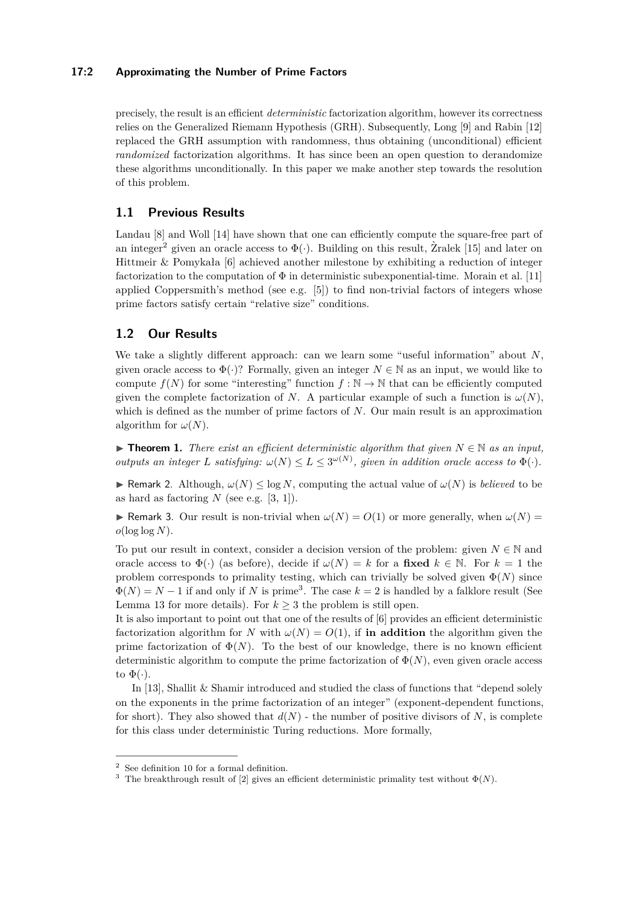### **17:2 Approximating the Number of Prime Factors**

precisely, the result is an efficient *deterministic* factorization algorithm, however its correctness relies on the Generalized Riemann Hypothesis (GRH). Subsequently, Long [\[9\]](#page-9-1) and Rabin [\[12\]](#page-9-0) replaced the GRH assumption with randomness, thus obtaining (unconditional) efficient *randomized* factorization algorithms. It has since been an open question to derandomize these algorithms unconditionally. In this paper we make another step towards the resolution of this problem.

# **1.1 Previous Results**

Landau [\[8\]](#page-9-6) and Woll [\[14\]](#page-9-5) have shown that one can efficiently compute the square-free part of an integer<sup>[2](#page-1-0)</sup> given an oracle access to  $\Phi(\cdot)$ . Building on this result, Zralek [[15\]](#page-9-10) and later on Hittmeir & Pomykała [\[6\]](#page-9-7) achieved another milestone by exhibiting a reduction of integer factorization to the computation of  $\Phi$  in deterministic subexponential-time. Morain et al. [\[11\]](#page-9-3) applied Coppersmith's method (see e.g. [\[5\]](#page-9-11)) to find non-trivial factors of integers whose prime factors satisfy certain "relative size" conditions.

# **1.2 Our Results**

We take a slightly different approach: can we learn some "useful information" about *N*, given oracle access to  $\Phi(\cdot)$ ? Formally, given an integer  $N \in \mathbb{N}$  as an input, we would like to compute  $f(N)$  for some "interesting" function  $f : \mathbb{N} \to \mathbb{N}$  that can be efficiently computed given the complete factorization of *N*. A particular example of such a function is  $\omega(N)$ , which is defined as the number of prime factors of *N*. Our main result is an approximation algorithm for  $\omega(N)$ .

<span id="page-1-2"></span>▶ **Theorem 1.** *There exist an efficient deterministic algorithm that given*  $N \in \mathbb{N}$  *as an input, outputs an integer L satisfying:*  $\omega(N) \leq L \leq 3^{\omega(N)}$ , given in addition oracle access to  $\Phi(\cdot)$ .

**► Remark 2.** Although,  $\omega(N) \leq \log N$ , computing the actual value of  $\omega(N)$  is *believed* to be as hard as factoring *N* (see e.g. [\[3,](#page-9-12) [1\]](#page-9-13)).

**Example 3.** Our result is non-trivial when  $\omega(N) = O(1)$  or more generally, when  $\omega(N) = O(1)$  $o(\log \log N)$ .

To put our result in context, consider a decision version of the problem: given  $N \in \mathbb{N}$  and oracle access to  $\Phi(\cdot)$  (as before), decide if  $\omega(N) = k$  for a **fixed**  $k \in \mathbb{N}$ . For  $k = 1$  the problem corresponds to primality testing, which can trivially be solved given  $\Phi(N)$  since  $\Phi(N) = N - 1$  if and only if *N* is prime<sup>[3](#page-1-1)</sup>. The case  $k = 2$  is handled by a falklore result (See Lemma [13](#page-3-1) for more details). For  $k \geq 3$  the problem is still open.

It is also important to point out that one of the results of [\[6\]](#page-9-7) provides an efficient deterministic factorization algorithm for *N* with  $\omega(N) = O(1)$ , if **in addition** the algorithm given the prime factorization of  $\Phi(N)$ . To the best of our knowledge, there is no known efficient deterministic algorithm to compute the prime factorization of  $\Phi(N)$ , even given oracle access to  $\Phi(\cdot)$ .

In [\[13\]](#page-9-9), Shallit & Shamir introduced and studied the class of functions that "depend solely on the exponents in the prime factorization of an integer" (exponent-dependent functions, for short). They also showed that  $d(N)$  - the number of positive divisors of N, is complete for this class under deterministic Turing reductions. More formally,

<span id="page-1-0"></span> $2$  See definition [10](#page-3-2) for a formal definition.

<span id="page-1-1"></span><sup>&</sup>lt;sup>3</sup> The breakthrough result of [\[2\]](#page-9-14) gives an efficient deterministic primality test without  $\Phi(N)$ .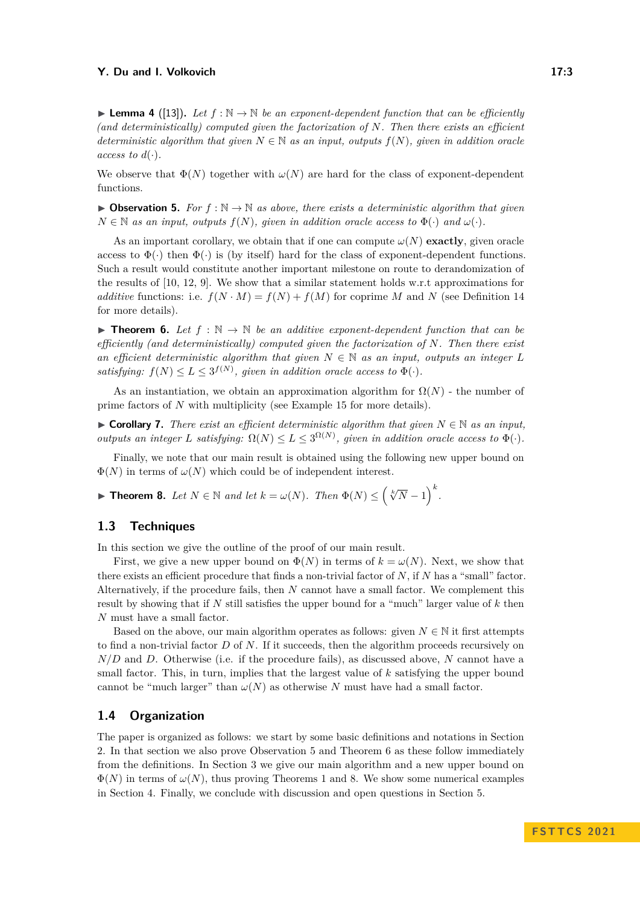**► Lemma 4** ([\[13\]](#page-9-9)). Let  $f : \mathbb{N} \to \mathbb{N}$  be an exponent-dependent function that can be efficiently *(and deterministically) computed given the factorization of N. Then there exists an efficient deterministic algorithm that given*  $N \in \mathbb{N}$  *as an input, outputs*  $f(N)$ *, given in addition oracle access to*  $d(\cdot)$ *.* 

We observe that  $\Phi(N)$  together with  $\omega(N)$  are hard for the class of exponent-dependent functions.

<span id="page-2-0"></span>▶ **Observation 5.** *For*  $f : \mathbb{N} \to \mathbb{N}$  *as above, there exists a deterministic algorithm that given*  $N \in \mathbb{N}$  *as an input, outputs*  $f(N)$ *, given in addition oracle access to*  $\Phi(\cdot)$  *and*  $\omega(\cdot)$ *.* 

As an important corollary, we obtain that if one can compute  $\omega(N)$  **exactly**, given oracle access to  $\Phi(\cdot)$  then  $\Phi(\cdot)$  is (by itself) hard for the class of exponent-dependent functions. Such a result would constitute another important milestone on route to derandomization of the results of [\[10,](#page-9-2) [12,](#page-9-0) [9\]](#page-9-1). We show that a similar statement holds w.r.t approximations for *additive* functions: i.e.  $f(N \cdot M) = f(N) + f(M)$  for coprime *M* and *N* (see Definition [14](#page-3-3) for more details).

<span id="page-2-1"></span>**► Theorem 6.** Let  $f : \mathbb{N} \to \mathbb{N}$  be an additive exponent-dependent function that can be *efficiently (and deterministically) computed given the factorization of N. Then there exist an efficient deterministic algorithm that given*  $N \in \mathbb{N}$  *as an input, outputs an integer L satisfying:*  $f(N) \le L \le 3^{f(N)}$ , given in addition oracle access to  $\Phi(\cdot)$ .

As an instantiation, we obtain an approximation algorithm for  $\Omega(N)$  - the number of prime factors of *N* with multiplicity (see Example [15](#page-3-4) for more details).

▶ **Corollary 7.** *There exist an efficient deterministic algorithm that given*  $N \in \mathbb{N}$  *as an input, outputs an integer L satisfying:*  $\Omega(N) \le L \le 3^{\Omega(N)}$ , given in addition oracle access to  $\Phi(\cdot)$ .

Finally, we note that our main result is obtained using the following new upper bound on  $\Phi(N)$  in terms of  $\omega(N)$  which could be of independent interest.

<span id="page-2-2"></span>▶ **Theorem 8.** Let  $N \in \mathbb{N}$  and let  $k = \omega(N)$ . Then  $\Phi(N) \leq (\sqrt[k]{N} - 1)^k$ .

# **1.3 Techniques**

In this section we give the outline of the proof of our main result.

First, we give a new upper bound on  $\Phi(N)$  in terms of  $k = \omega(N)$ . Next, we show that there exists an efficient procedure that finds a non-trivial factor of *N*, if *N* has a "small" factor. Alternatively, if the procedure fails, then *N* cannot have a small factor. We complement this result by showing that if *N* still satisfies the upper bound for a "much" larger value of *k* then *N* must have a small factor.

Based on the above, our main algorithm operates as follows: given  $N \in \mathbb{N}$  it first attempts to find a non-trivial factor *D* of *N*. If it succeeds, then the algorithm proceeds recursively on *N/D* and *D*. Otherwise (i.e. if the procedure fails), as discussed above, *N* cannot have a small factor. This, in turn, implies that the largest value of *k* satisfying the upper bound cannot be "much larger" than  $\omega(N)$  as otherwise *N* must have had a small factor.

# **1.4 Organization**

The paper is organized as follows: we start by some basic definitions and notations in Section [2.](#page-3-5) In that section we also prove Observation [5](#page-2-0) and Theorem [6](#page-2-1) as these follow immediately from the definitions. In Section [3](#page-5-0) we give our main algorithm and a new upper bound on  $\Phi(N)$  in terms of  $\omega(N)$ , thus proving Theorems [1](#page-1-2) and [8.](#page-2-2) We show some numerical examples in Section [4.](#page-8-0) Finally, we conclude with discussion and open questions in Section [5.](#page-8-1)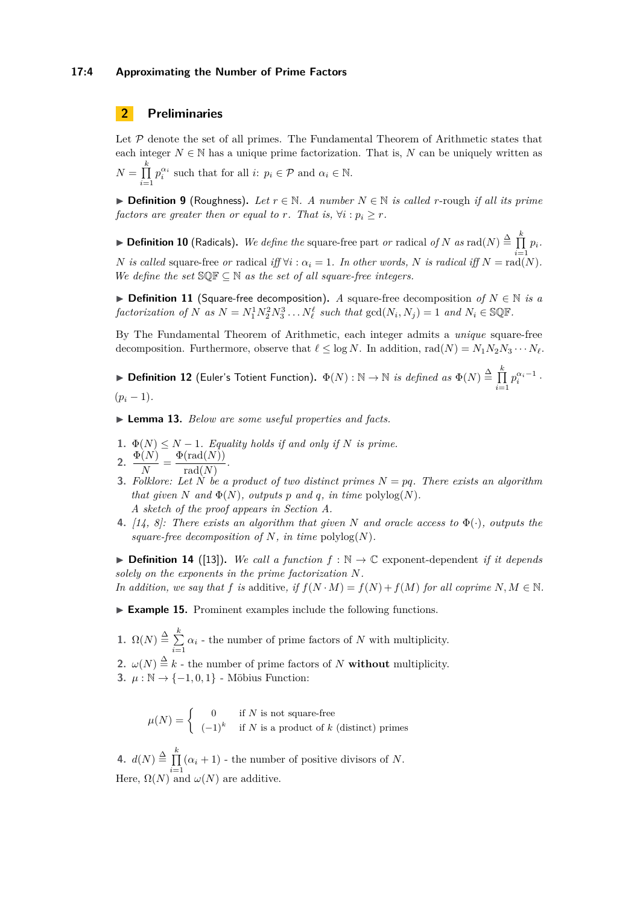#### **17:4 Approximating the Number of Prime Factors**

# <span id="page-3-5"></span>**2 Preliminaries**

Let  $P$  denote the set of all primes. The Fundamental Theorem of Arithmetic states that each integer  $N \in \mathbb{N}$  has a unique prime factorization. That is, N can be uniquely written as  $N = \prod^k$ *i*=1  $p_i^{\alpha_i}$  such that for all *i*:  $p_i \in \mathcal{P}$  and  $\alpha_i \in \mathbb{N}$ .

▶ **Definition 9** (Roughness). Let  $r \in \mathbb{N}$ . A number  $N \in \mathbb{N}$  is called *r*-rough if all its prime *factors are greater then or equal to r. That is,*  $\forall i : p_i \geq r$ .

<span id="page-3-2"></span>▶ **Definition 10** (Radicals). We define the square-free part *or* radical *of*  $N$  *as*  $\text{rad}(N) \triangleq \prod_{i=1}^{k} p_i$ . *N is called* square-free *or* radical *iff*  $\forall i : \alpha_i = 1$ *. In other words, N is radical iff*  $N = \text{rad}(N)$ *. We define the set*  $\mathbb{S}\mathbb{Q}\mathbb{F} \subseteq \mathbb{N}$  *as the set of all square-free integers.* 

▶ **Definition 11** (Square-free decomposition)**.** *A* square-free decomposition *of N* ∈ N *is a* factorization of N as  $N = N_1^1 N_2^2 N_3^3 \dots N_\ell^\ell$  such that  $gcd(N_i, N_j) = 1$  and  $N_i \in \mathbb{SQR}$ .

By The Fundamental Theorem of Arithmetic, each integer admits a *unique* square-free decomposition. Furthermore, observe that  $\ell \leq \log N$ . In addition, rad $(N) = N_1 N_2 N_3 \cdots N_\ell$ .

<span id="page-3-0"></span>▶ Definition 12 (Euler's Totient Function).  $\Phi(N) : \mathbb{N} \to \mathbb{N}$  *is defined as*  $\Phi(N) \stackrel{\Delta}{=} \prod^k$ *i*=1  $p_i^{\alpha_i-1}$ .  $(p_i - 1)$ .

<span id="page-3-1"></span>▶ **Lemma 13.** *Below are some useful properties and facts.*

*.*

<span id="page-3-9"></span>**1.**  $\Phi(N) \leq N - 1$ *. Equality holds if and only if N is prime.* 

<span id="page-3-7"></span>2. 
$$
\frac{\Phi(N)}{N} = \frac{\Phi(\text{rad}(N))}{\text{rad}(N)}
$$

- <span id="page-3-8"></span>**3.** Folklore: Let  $\tilde{N}$  be a product of two distinct primes  $N = pq$ . There exists an algorithm *that given*  $N$  *and*  $\Phi(N)$ *, outputs*  $p$  *and*  $q$ *, in time* polylog $(N)$ *. A sketch of the proof appears in Section [A.](#page-9-15)*
- <span id="page-3-6"></span>**4.** *[\[14,](#page-9-5) [8\]](#page-9-6): There exists an algorithm that given N and oracle access to* Φ(·)*, outputs the square-free decomposition of*  $N$ *, in time* polylog $(N)$ *.*

<span id="page-3-3"></span>▶ **Definition 14** ([\[13\]](#page-9-9)). *We call a function*  $f : \mathbb{N} \to \mathbb{C}$  exponent-dependent *if it depends solely on the exponents in the prime factorization N.*

*In addition, we say that f is* additive, if  $f(N \cdot M) = f(N) + f(M)$  *for all coprime*  $N, M \in \mathbb{N}$ *.* 

<span id="page-3-4"></span>▶ **Example 15.** Prominent examples include the following functions.

1.  $\Omega(N) \stackrel{\Delta}{=} \sum_{k=1}^{k}$  $\sum_{i=1}^{\infty} \alpha_i$  - the number of prime factors of *N* with multiplicity.

- **2.**  $\omega(N) \stackrel{\Delta}{=} k$  the number of prime factors of *N* **without** multiplicity.
- 3.  $\mu$  : N → {-1, 0, 1} Möbius Function:

 $\mu(N) = \begin{cases} 0 & \text{if } N \text{ is not square-free} \\ (1)^k & \text{if } N \in \mathbb{N} \end{cases}$  $(-1)^k$  if *N* is a product of *k* (distinct) primes

4.  $d(N) \stackrel{\Delta}{=} \prod^k$  $\prod_{i=1}$  ( $\alpha_i + 1$ ) - the number of positive divisors of *N*. Here,  $\Omega(N)$  and  $\omega(N)$  are additive.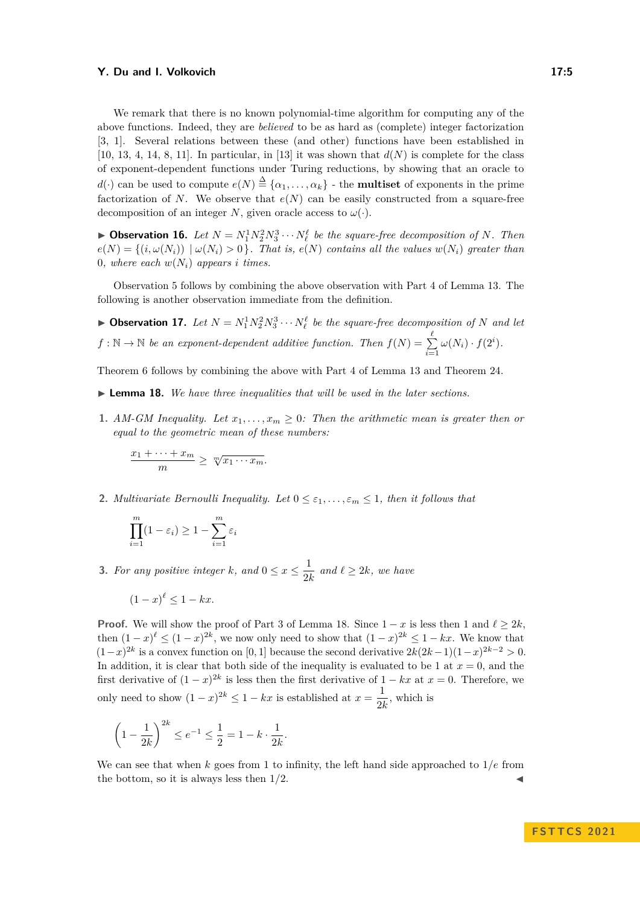We remark that there is no known polynomial-time algorithm for computing any of the above functions. Indeed, they are *believed* to be as hard as (complete) integer factorization [\[3,](#page-9-12) [1\]](#page-9-13). Several relations between these (and other) functions have been established in [\[10,](#page-9-2) [13,](#page-9-9) [4,](#page-9-4) [14,](#page-9-5) [8,](#page-9-6) [11\]](#page-9-3). In particular, in [\[13\]](#page-9-9) it was shown that  $d(N)$  is complete for the class of exponent-dependent functions under Turing reductions, by showing that an oracle to *d*(·) can be used to compute  $e(N) \stackrel{\Delta}{=} \{\alpha_1, \ldots, \alpha_k\}$  - the **multiset** of exponents in the prime factorization of *N*. We observe that  $e(N)$  can be easily constructed from a square-free decomposition of an integer *N*, given oracle access to  $\omega(\cdot)$ .

**• Observation 16.** Let  $N = N_1^1 N_2^2 N_3^3 \cdots N_\ell^\ell$  be the square-free decomposition of N. Then  $e(N) = \{(i, \omega(N_i)) \mid \omega(N_i) > 0\}$ . That is,  $e(N)$  contains all the values  $w(N_i)$  greater than 0*, where each*  $w(N_i)$  *appears i times.* 

Observation [5](#page-2-0) follows by combining the above observation with Part [4](#page-3-6) of Lemma [13.](#page-3-1) The following is another observation immediate from the definition.

**• Observation 17.** Let  $N = N_1^1 N_2^2 N_3^3 \cdots N_\ell^\ell$  be the square-free decomposition of N and let  $f : \mathbb{N} \to \mathbb{N}$  *be an exponent-dependent additive function. Then*  $f(N) = \sum_{i=1}^{\ell}$  $\sum_{i=1}^{\infty} \omega(N_i) \cdot f(2^i)$ .

<span id="page-4-1"></span>Theorem [6](#page-2-1) follows by combining the above with Part [4](#page-3-6) of Lemma [13](#page-3-1) and Theorem [24.](#page-6-0)

- ▶ **Lemma 18.** *We have three inequalities that will be used in the later sections.*
- **1.** *AM-GM Inequality.* Let  $x_1, \ldots, x_m \geq 0$ : Then the arithmetic mean is greater then or *equal to the geometric mean of these numbers:*

$$
\frac{x_1 + \dots + x_m}{m} \geq \sqrt[m]{x_1 \cdots x_m}.
$$

<span id="page-4-2"></span>**2.** *Multivariate Bernoulli Inequality. Let*  $0 \leq \varepsilon_1, \ldots, \varepsilon_m \leq 1$ , then it follows that

$$
\prod_{i=1}^{m} (1 - \varepsilon_i) \ge 1 - \sum_{i=1}^{m} \varepsilon_i
$$

<span id="page-4-0"></span>**3.** *For any positive integer k*, and  $0 \le x \le \frac{1}{2!}$  $\frac{1}{2k}$  and  $\ell \geq 2k$ , we have

$$
(1-x)^{\ell} \le 1 - kx.
$$

**Proof.** We will show the proof of Part [3](#page-4-0) of Lemma [18.](#page-4-1) Since  $1 - x$  is less then 1 and  $\ell \geq 2k$ . then  $(1-x)^{\ell} \leq (1-x)^{2k}$ , we now only need to show that  $(1-x)^{2k} \leq 1 - kx$ . We know that  $(1-x)^{2k}$  is a convex function on [0, 1] because the second derivative  $2k(2k-1)(1-x)^{2k-2} > 0$ . In addition, it is clear that both side of the inequality is evaluated to be 1 at  $x = 0$ , and the first derivative of  $(1-x)^{2k}$  is less then the first derivative of  $1 - kx$  at  $x = 0$ . Therefore, we only need to show  $(1-x)^{2k} \leq 1 - kx$  is established at  $x = \frac{1}{2k}$  $\frac{1}{2k}$ , which is

$$
\left(1 - \frac{1}{2k}\right)^{2k} \le e^{-1} \le \frac{1}{2} = 1 - k \cdot \frac{1}{2k}
$$

We can see that when  $k$  goes from 1 to infinity, the left hand side approached to  $1/e$  from the bottom, so it is always less then  $1/2$ .

*.*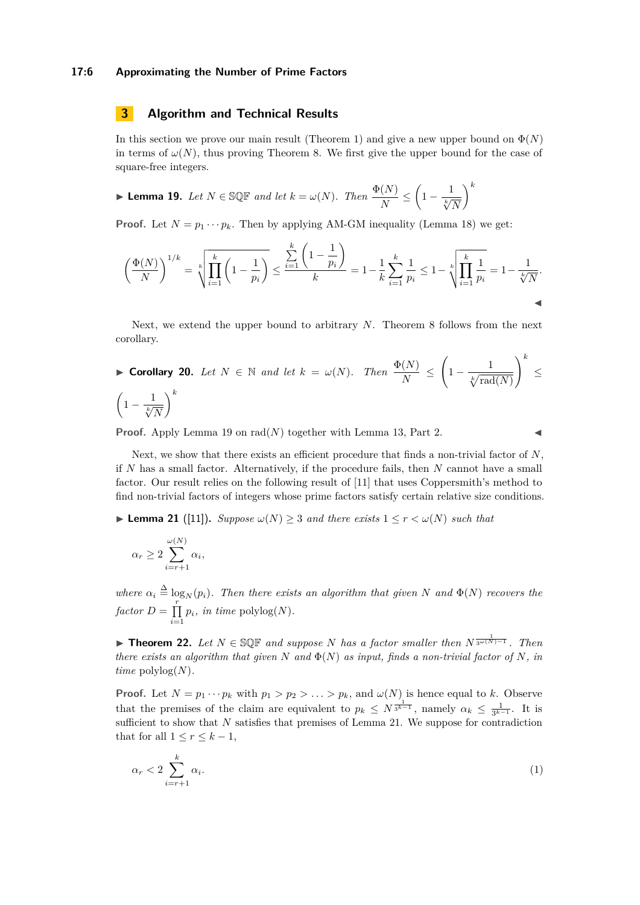#### **17:6 Approximating the Number of Prime Factors**

# <span id="page-5-0"></span>**3 Algorithm and Technical Results**

In this section we prove our main result (Theorem [1\)](#page-1-2) and give a new upper bound on  $\Phi(N)$ in terms of  $\omega(N)$ , thus proving Theorem [8.](#page-2-2) We first give the upper bound for the case of square-free integers.

<span id="page-5-1"></span>
$$
\blacktriangleright \textbf{ Lemma 19. } Let \ N \in \text{SQF and let } k = \omega(N). \ Then \ \frac{\Phi(N)}{N} \le \left(1 - \frac{1}{\sqrt[k]{N}}\right)^k
$$

**Proof.** Let  $N = p_1 \cdots p_k$ . Then by applying AM-GM inequality (Lemma [18\)](#page-4-1) we get:

$$
\left(\frac{\Phi(N)}{N}\right)^{1/k} = \sqrt[k]{\prod_{i=1}^k \left(1 - \frac{1}{p_i}\right)} \le \frac{\sum_{i=1}^k \left(1 - \frac{1}{p_i}\right)}{k} = 1 - \frac{1}{k} \sum_{i=1}^k \frac{1}{p_i} \le 1 - \sqrt[k]{\prod_{i=1}^k \frac{1}{p_i}} = 1 - \frac{1}{\sqrt[k]{N}}.
$$

Next, we extend the upper bound to arbitrary *N*. Theorem [8](#page-2-2) follows from the next corollary.

$$
\blacktriangleright \text{ Corollary 20. } Let \ N \in \mathbb{N} \ and \ let \ k = \omega(N). \ \ Then \ \frac{\Phi(N)}{N} \le \left(1 - \frac{1}{\sqrt[k]{\text{rad}(N)}}\right)^k \le \left(1 - \frac{1}{\sqrt[k]{\text{rad}(N)}}\right)^k
$$

**Proof.** Apply Lemma [19](#page-5-1) on  $rad(N)$  together with Lemma [13,](#page-3-1) Part [2.](#page-3-7)

Next, we show that there exists an efficient procedure that finds a non-trivial factor of *N*, if *N* has a small factor. Alternatively, if the procedure fails, then *N* cannot have a small factor. Our result relies on the following result of [\[11\]](#page-9-3) that uses Coppersmith's method to find non-trivial factors of integers whose prime factors satisfy certain relative size conditions.

<span id="page-5-2"></span>▶ **Lemma 21** ([\[11\]](#page-9-3)). *Suppose*  $\omega(N) \geq 3$  *and there exists*  $1 \leq r < \omega(N)$  *such that* 

$$
\alpha_r \ge 2 \sum_{i=r+1}^{\omega(N)} \alpha_i,
$$

*where*  $\alpha_i \triangleq \log_N(p_i)$ . Then there exists an algorithm that given N and  $\Phi(N)$  recovers the  $factor D = \prod^r$  $\prod_{i=1} p_i$ *, in time* polylog(*N*)*.* 

<span id="page-5-4"></span>▶ **Theorem 22.** *Let N* ∈ SQF *and suppose N has a factor smaller then N* 1 3*ω*(*N*)−1 *. Then there exists an algorithm that given*  $N$  *and*  $\Phi(N)$  *as input, finds a non-trivial factor of*  $N$ *, in time*  $\text{polylog}(N)$ *.* 

**Proof.** Let  $N = p_1 \cdots p_k$  with  $p_1 > p_2 > \ldots > p_k$ , and  $\omega(N)$  is hence equal to *k*. Observe that the premises of the claim are equivalent to  $p_k \leq N^{\frac{1}{3^{k-1}}}$ , namely  $\alpha_k \leq \frac{1}{3^{k-1}}$ . It is sufficient to show that *N* satisfies that premises of Lemma [21.](#page-5-2) We suppose for contradiction that for all  $1 \leq r \leq k-1$ ,

<span id="page-5-3"></span>
$$
\alpha_r < 2 \sum_{i=r+1}^k \alpha_i. \tag{1}
$$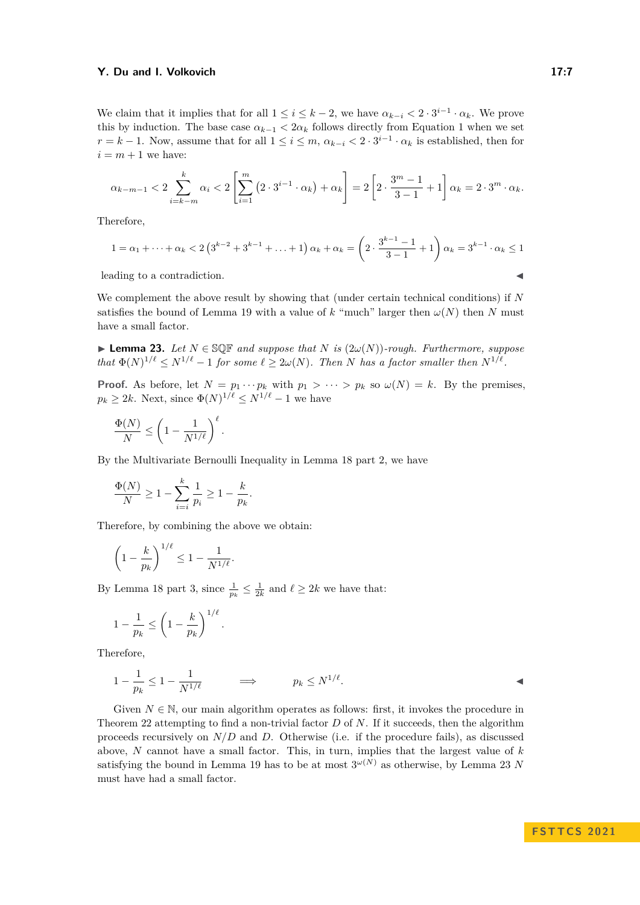We claim that it implies that for all  $1 \leq i \leq k-2$ , we have  $\alpha_{k-i} < 2 \cdot 3^{i-1} \cdot \alpha_k$ . We prove this by induction. The base case  $\alpha_{k-1} < 2\alpha_k$  follows directly from Equation [1](#page-5-3) when we set  $r = k - 1$ . Now, assume that for all  $1 \leq i \leq m$ ,  $\alpha_{k-i} < 2 \cdot 3^{i-1} \cdot \alpha_k$  is established, then for  $i = m + 1$  we have:

$$
\alpha_{k-m-1} < 2 \sum_{i=k-m}^{k} \alpha_i < 2 \left[ \sum_{i=1}^{m} \left( 2 \cdot 3^{i-1} \cdot \alpha_k \right) + \alpha_k \right] = 2 \left[ 2 \cdot \frac{3^m - 1}{3 - 1} + 1 \right] \alpha_k = 2 \cdot 3^m \cdot \alpha_k.
$$

Therefore,

$$
1 = \alpha_1 + \dots + \alpha_k < 2\left(3^{k-2} + 3^{k-1} + \dots + 1\right)\alpha_k + \alpha_k = \left(2 \cdot \frac{3^{k-1} - 1}{3-1} + 1\right)\alpha_k = 3^{k-1} \cdot \alpha_k \le 1
$$

leading to a contradiction.

We complement the above result by showing that (under certain technical conditions) if *N* satisfies the bound of Lemma [19](#page-5-1) with a value of  $k$  "much" larger then  $\omega(N)$  then  $N$  must have a small factor.

<span id="page-6-1"></span>▶ **Lemma 23.** Let  $N \in \mathbb{SQR}$  and suppose that  $N$  is  $(2\omega(N))$ *-rough. Furthermore, suppose that*  $\Phi(N)^{1/\ell} \leq N^{1/\ell} - 1$  *for some*  $\ell \geq 2\omega(N)$ *. Then N has a factor smaller then*  $N^{1/\ell}$ *.* 

**Proof.** As before, let  $N = p_1 \cdots p_k$  with  $p_1 > \cdots > p_k$  so  $\omega(N) = k$ . By the premises,  $p_k \geq 2k$ . Next, since  $\Phi(N)^{1/\ell} \leq N^{1/\ell} - 1$  we have

$$
\frac{\Phi(N)}{N} \le \left(1 - \frac{1}{N^{1/\ell}}\right)^{\ell}.
$$

By the Multivariate Bernoulli Inequality in Lemma [18](#page-4-1) part [2,](#page-4-2) we have

$$
\frac{\Phi(N)}{N} \geq 1 - \sum_{i=i}^k \frac{1}{p_i} \geq 1 - \frac{k}{p_k}.
$$

Therefore, by combining the above we obtain:

$$
\left(1 - \frac{k}{p_k}\right)^{1/\ell} \le 1 - \frac{1}{N^{1/\ell}}.
$$

By Lemma [18](#page-4-1) part [3,](#page-4-0) since  $\frac{1}{p_k} \leq \frac{1}{2k}$  and  $\ell \geq 2k$  we have that:

$$
1 - \frac{1}{p_k} \le \left(1 - \frac{k}{p_k}\right)^{1/\ell}.
$$

Therefore,

$$
1 - \frac{1}{p_k} \le 1 - \frac{1}{N^{1/\ell}} \qquad \Longrightarrow \qquad p_k \le N^{1/\ell}.
$$

<span id="page-6-0"></span>Given  $N \in \mathbb{N}$ , our main algorithm operates as follows: first, it invokes the procedure in Theorem [22](#page-5-4) attempting to find a non-trivial factor *D* of *N*. If it succeeds, then the algorithm proceeds recursively on *N/D* and *D*. Otherwise (i.e. if the procedure fails), as discussed above, *N* cannot have a small factor. This, in turn, implies that the largest value of *k* satisfying the bound in Lemma [19](#page-5-1) has to be at most  $3^{\omega(N)}$  as otherwise, by Lemma [23](#page-6-1) *N* must have had a small factor.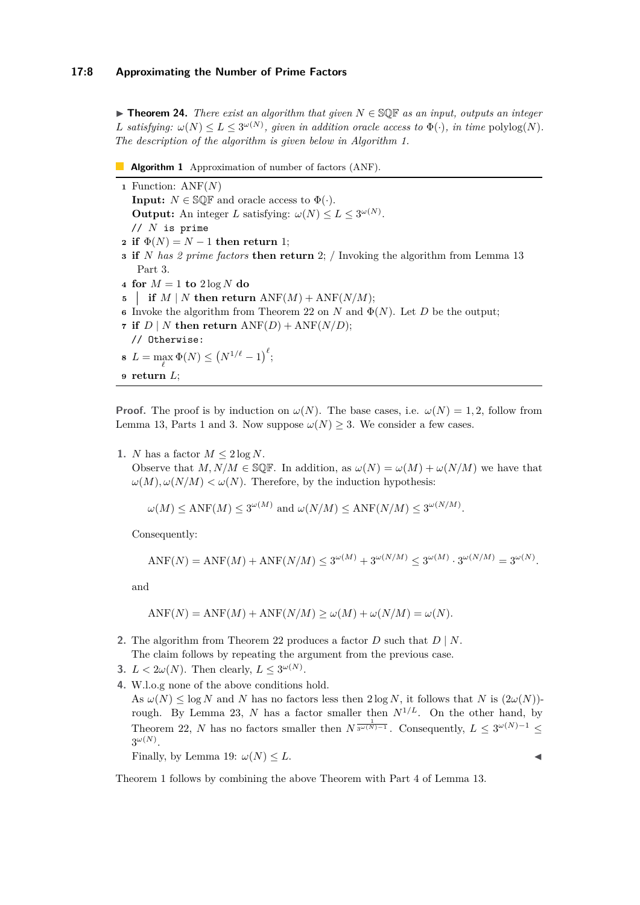▶ **Theorem 24.** *There exist an algorithm that given N* ∈ SQF *as an input, outputs an integer L* satisfying:  $\omega(N) \le L \le 3^{\omega(N)}$ , given in addition oracle access to  $\Phi(\cdot)$ , in time  $\text{polylog}(N)$ . *The description of the algorithm is given below in Algorithm [1.](#page-7-0)*

- <span id="page-7-0"></span>**Algorithm 1** Approximation of number of factors (ANF).
- **<sup>1</sup>** Function: ANF(*N*) **Input:**  $N \in \mathbb{SQR}$  and oracle access to  $\Phi(\cdot)$ . **Output:** An integer *L* satisfying:  $\omega(N) \leq L \leq 3^{\omega(N)}$ . // *N* is prime **2 if**  $\Phi(N) = N - 1$  **then return** 1; **<sup>3</sup> if** *N has 2 prime factors* **then return** 2; */* Invoking the algorithm from Lemma [13](#page-3-1) Part [3.](#page-3-8) **4 for**  $M = 1$  **to**  $2 \log N$  **do 5 if**  $M \mid N$  **then return**  $ANF(M) + ANF(N/M);$ **6** Invoke the algorithm from Theorem [22](#page-5-4) on *N* and  $\Phi(N)$ . Let *D* be the output; **7 if**  $D \mid N$  **then return**  $ANF(D) + ANF(N/D)$ ; // Otherwise: **8**  $L = \max_{\ell} \Phi(N) \le (N^{1/\ell} - 1)^{\ell};$
- **<sup>9</sup> return** *L*;

**Proof.** The proof is by induction on  $\omega(N)$ . The base cases, i.e.  $\omega(N) = 1, 2$ , follow from Lemma [13,](#page-3-1) Parts [1](#page-3-9) and [3.](#page-3-8) Now suppose  $\omega(N) \geq 3$ . We consider a few cases.

**1.** *N* has a factor  $M \leq 2 \log N$ .

Observe that  $M, N/M \in \mathbb{S} \mathbb{Q} \mathbb{F}$ . In addition, as  $\omega(N) = \omega(M) + \omega(N/M)$  we have that  $\omega(M), \omega(N/M) < \omega(N)$ . Therefore, by the induction hypothesis:

$$
\omega(M) \leq \text{ANF}(M) \leq 3^{\omega(M)} \text{ and } \omega(N/M) \leq \text{ANF}(N/M) \leq 3^{\omega(N/M)}.
$$

Consequently:

$$
ANF(N) = ANF(M) + ANF(N/M) \le 3^{\omega(M)} + 3^{\omega(N/M)} \le 3^{\omega(M)} \cdot 3^{\omega(N/M)} = 3^{\omega(N)}.
$$

and

$$
ANF(N) = ANF(M) + ANF(N/M) \ge \omega(M) + \omega(N/M) = \omega(N).
$$

- **2.** The algorithm from Theorem [22](#page-5-4) produces a factor *D* such that *D* | *N*. The claim follows by repeating the argument from the previous case.
- **3.**  $L < 2\omega(N)$ . Then clearly,  $L \leq 3^{\omega(N)}$ .
- **4.** W.l.o.g none of the above conditions hold.

As  $\omega(N) \leq \log N$  and *N* has no factors less then  $2 \log N$ , it follows that *N* is  $(2\omega(N))$ -rough. By Lemma [23,](#page-6-1) *N* has a factor smaller then  $N^{1/L}$ . On the other hand, by Theorem [22,](#page-5-4) *N* has no factors smaller then  $N^{\frac{1}{3\omega(N)-1}}$ . Consequently,  $L \leq 3^{\omega(N)-1} \leq$  $3^{\omega(N)}$ .

Finally, by Lemma [19:](#page-5-1)  $\omega(N) \leq L$ .

Theorem [1](#page-1-2) follows by combining the above Theorem with Part [4](#page-3-6) of Lemma [13.](#page-3-1)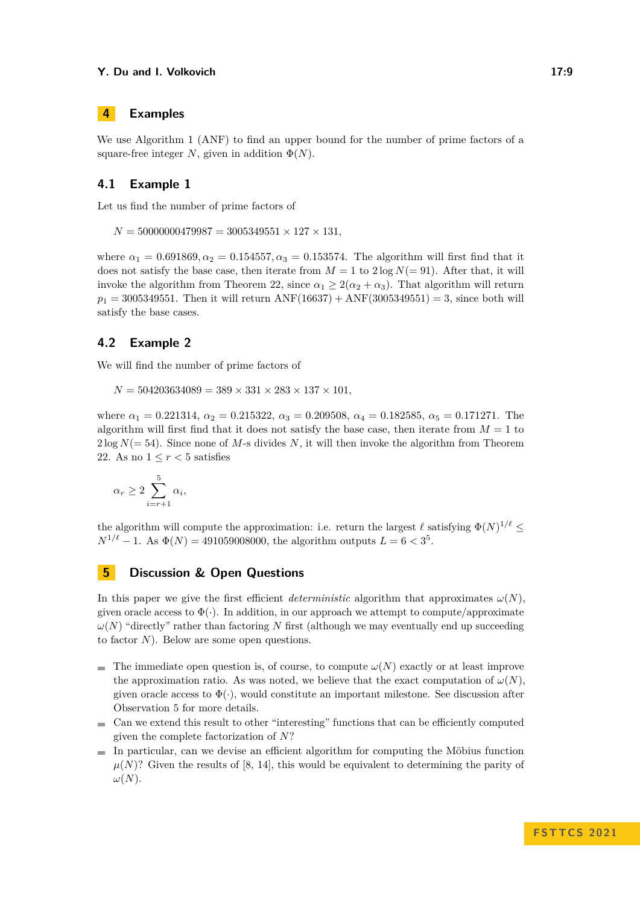# <span id="page-8-0"></span>**4 Examples**

We use Algorithm [1](#page-7-0) (ANF) to find an upper bound for the number of prime factors of a square-free integer *N*, given in addition  $\Phi(N)$ .

# **4.1 Example 1**

Let us find the number of prime factors of

 $N = 50000000479987 = 3005349551 \times 127 \times 131$ 

where  $\alpha_1 = 0.691869, \alpha_2 = 0.154557, \alpha_3 = 0.153574$ . The algorithm will first find that it does not satisfy the base case, then iterate from  $M = 1$  to  $2 \log N (= 91)$ . After that, it will invoke the algorithm from Theorem [22,](#page-5-4) since  $\alpha_1 \geq 2(\alpha_2 + \alpha_3)$ . That algorithm will return  $p_1 = 3005349551$ . Then it will return ANF(16637) + ANF(3005349551) = 3, since both will satisfy the base cases.

# **4.2 Example 2**

We will find the number of prime factors of

 $N = 504203634089 = 389 \times 331 \times 283 \times 137 \times 101,$ 

where *α*<sup>1</sup> = 0*.*221314, *α*<sup>2</sup> = 0*.*215322, *α*<sup>3</sup> = 0*.*209508, *α*<sup>4</sup> = 0*.*182585, *α*<sup>5</sup> = 0*.*171271. The algorithm will first find that it does not satisfy the base case, then iterate from  $M = 1$  to  $2 \log N (= 54)$ . Since none of M-s divides N, it will then invoke the algorithm from Theorem [22.](#page-5-4) As no  $1 \leq r < 5$  satisfies

$$
\alpha_r \ge 2 \sum_{i=r+1}^5 \alpha_i,
$$

the algorithm will compute the approximation: i.e. return the largest  $\ell$  satisfying  $\Phi(N)^{1/\ell} \leq$  $N^{1/\ell} - 1$ . As  $\Phi(N) = 491059008000$ , the algorithm outputs  $L = 6 < 3^5$ .

# <span id="page-8-1"></span>**5 Discussion & Open Questions**

In this paper we give the first efficient *deterministic* algorithm that approximates  $\omega(N)$ . given oracle access to  $\Phi(\cdot)$ . In addition, in our approach we attempt to compute/approximate  $\omega(N)$  "directly" rather than factoring *N* first (although we may eventually end up succeeding to factor *N*). Below are some open questions.

- The immediate open question is, of course, to compute  $\omega(N)$  exactly or at least improve the approximation ratio. As was noted, we believe that the exact computation of  $\omega(N)$ , given oracle access to  $\Phi(\cdot)$ , would constitute an important milestone. See discussion after Observation [5](#page-2-0) for more details.
- Can we extend this result to other "interesting" functions that can be efficiently computed given the complete factorization of *N*?
- $\blacksquare$  In particular, can we devise an efficient algorithm for computing the Möbius function  $\mu(N)$ ? Given the results of [\[8,](#page-9-6) [14\]](#page-9-5), this would be equivalent to determining the parity of *ω*(*N*).